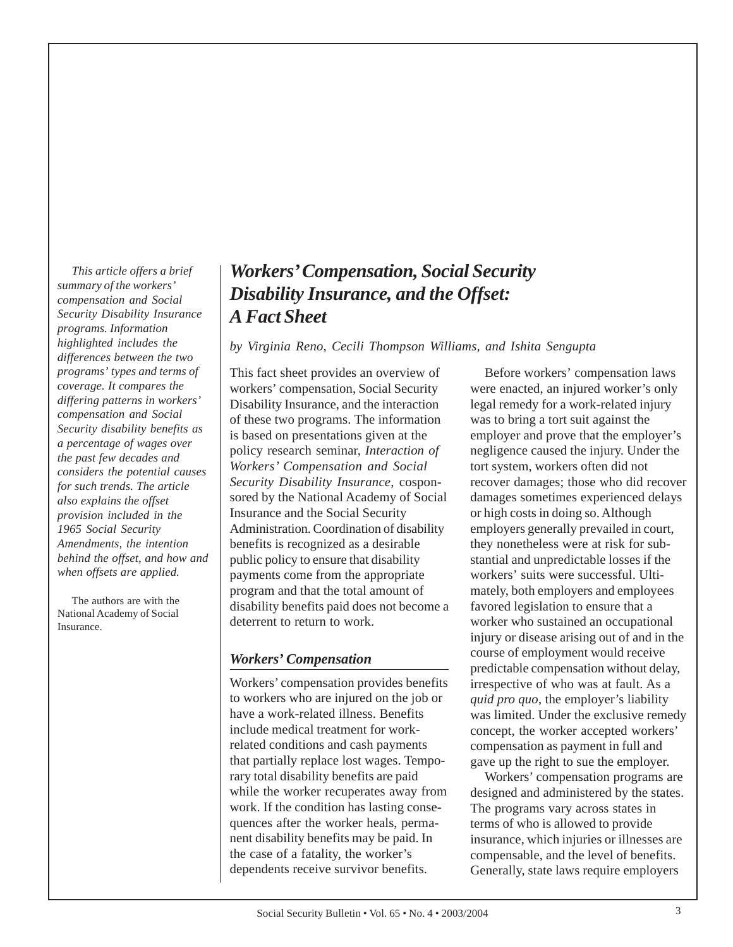*This article offers a brief summary of the workers' compensation and Social Security Disability Insurance programs. Information highlighted includes the differences between the two programs' types and terms of coverage. It compares the differing patterns in workers' compensation and Social Security disability benefits as a percentage of wages over the past few decades and considers the potential causes for such trends. The article also explains the offset provision included in the 1965 Social Security Amendments, the intention behind the offset, and how and when offsets are applied.*

The authors are with the National Academy of Social Insurance.

# *Workers' Compensation, Social Security Disability Insurance, and the Offset: A Fact Sheet*

*by Virginia Reno, Cecili Thompson Williams, and Ishita Sengupta*

This fact sheet provides an overview of workers' compensation, Social Security Disability Insurance, and the interaction of these two programs. The information is based on presentations given at the policy research seminar, *Interaction of Workers' Compensation and Social Security Disability Insurance*, cosponsored by the National Academy of Social Insurance and the Social Security Administration. Coordination of disability benefits is recognized as a desirable public policy to ensure that disability payments come from the appropriate program and that the total amount of disability benefits paid does not become a deterrent to return to work.

### *Workers' Compensation*

Workers' compensation provides benefits to workers who are injured on the job or have a work-related illness. Benefits include medical treatment for workrelated conditions and cash payments that partially replace lost wages. Temporary total disability benefits are paid while the worker recuperates away from work. If the condition has lasting consequences after the worker heals, permanent disability benefits may be paid. In the case of a fatality, the worker's dependents receive survivor benefits.

Before workers' compensation laws were enacted, an injured worker's only legal remedy for a work-related injury was to bring a tort suit against the employer and prove that the employer's negligence caused the injury. Under the tort system, workers often did not recover damages; those who did recover damages sometimes experienced delays or high costs in doing so. Although employers generally prevailed in court, they nonetheless were at risk for substantial and unpredictable losses if the workers' suits were successful. Ultimately, both employers and employees favored legislation to ensure that a worker who sustained an occupational injury or disease arising out of and in the course of employment would receive predictable compensation without delay, irrespective of who was at fault. As a *quid pro quo*, the employer's liability was limited. Under the exclusive remedy concept, the worker accepted workers' compensation as payment in full and gave up the right to sue the employer.

Workers' compensation programs are designed and administered by the states. The programs vary across states in terms of who is allowed to provide insurance, which injuries or illnesses are compensable, and the level of benefits. Generally, state laws require employers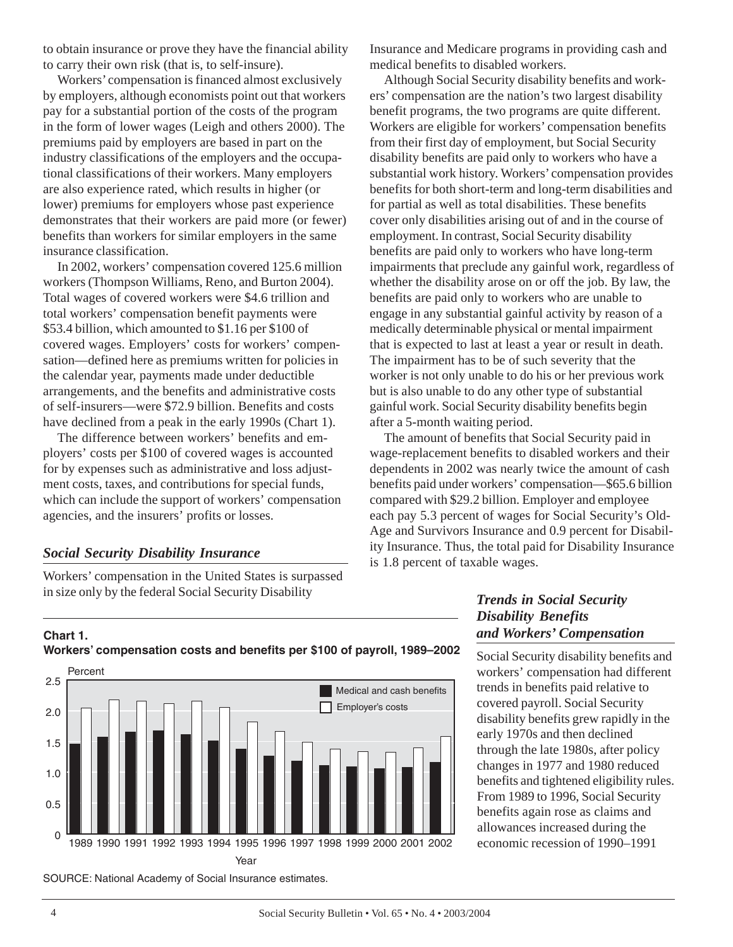to obtain insurance or prove they have the financial ability to carry their own risk (that is, to self-insure).

Workers' compensation is financed almost exclusively by employers, although economists point out that workers pay for a substantial portion of the costs of the program in the form of lower wages (Leigh and others 2000). The premiums paid by employers are based in part on the industry classifications of the employers and the occupational classifications of their workers. Many employers are also experience rated, which results in higher (or lower) premiums for employers whose past experience demonstrates that their workers are paid more (or fewer) benefits than workers for similar employers in the same insurance classification.

In 2002, workers' compensation covered 125.6 million workers (Thompson Williams, Reno, and Burton 2004). Total wages of covered workers were \$4.6 trillion and total workers' compensation benefit payments were \$53.4 billion, which amounted to \$1.16 per \$100 of covered wages. Employers' costs for workers' compensation—defined here as premiums written for policies in the calendar year, payments made under deductible arrangements, and the benefits and administrative costs of self-insurers—were \$72.9 billion. Benefits and costs have declined from a peak in the early 1990s (Chart 1).

The difference between workers' benefits and employers' costs per \$100 of covered wages is accounted for by expenses such as administrative and loss adjustment costs, taxes, and contributions for special funds, which can include the support of workers' compensation agencies, and the insurers' profits or losses.

### *Social Security Disability Insurance*

Workers' compensation in the United States is surpassed in size only by the federal Social Security Disability

Insurance and Medicare programs in providing cash and medical benefits to disabled workers.

Although Social Security disability benefits and workers' compensation are the nation's two largest disability benefit programs, the two programs are quite different. Workers are eligible for workers' compensation benefits from their first day of employment, but Social Security disability benefits are paid only to workers who have a substantial work history. Workers' compensation provides benefits for both short-term and long-term disabilities and for partial as well as total disabilities. These benefits cover only disabilities arising out of and in the course of employment. In contrast, Social Security disability benefits are paid only to workers who have long-term impairments that preclude any gainful work, regardless of whether the disability arose on or off the job. By law, the benefits are paid only to workers who are unable to engage in any substantial gainful activity by reason of a medically determinable physical or mental impairment that is expected to last at least a year or result in death. The impairment has to be of such severity that the worker is not only unable to do his or her previous work but is also unable to do any other type of substantial gainful work. Social Security disability benefits begin after a 5-month waiting period.

The amount of benefits that Social Security paid in wage-replacement benefits to disabled workers and their dependents in 2002 was nearly twice the amount of cash benefits paid under workers' compensation—\$65.6 billion compared with \$29.2 billion. Employer and employee each pay 5.3 percent of wages for Social Security's Old-Age and Survivors Insurance and 0.9 percent for Disability Insurance. Thus, the total paid for Disability Insurance is 1.8 percent of taxable wages.

# *Trends in Social Security Disability Benefits and Workers' Compensation*

Social Security disability benefits and workers' compensation had different trends in benefits paid relative to covered payroll. Social Security disability benefits grew rapidly in the early 1970s and then declined through the late 1980s, after policy changes in 1977 and 1980 reduced benefits and tightened eligibility rules. From 1989 to 1996, Social Security benefits again rose as claims and allowances increased during the economic recession of 1990–1991

# **Chart 1. Workers' compensation costs and benefits per \$100 of payroll, 1989–2002**



SOURCE: National Academy of Social Insurance estimates.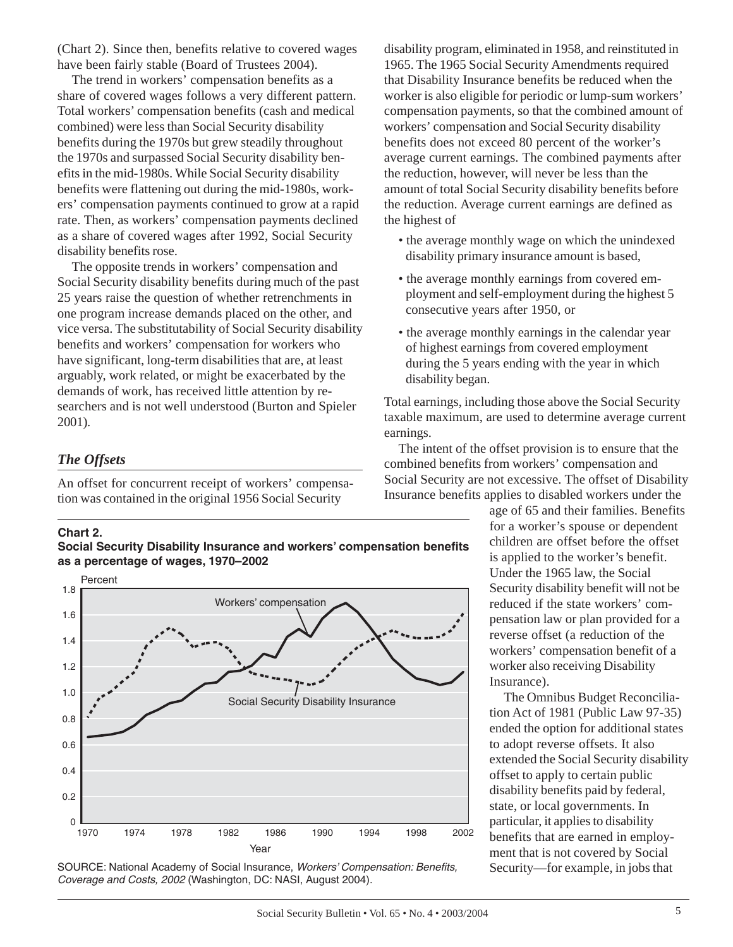(Chart 2). Since then, benefits relative to covered wages have been fairly stable (Board of Trustees 2004).

The trend in workers' compensation benefits as a share of covered wages follows a very different pattern. Total workers' compensation benefits (cash and medical combined) were less than Social Security disability benefits during the 1970s but grew steadily throughout the 1970s and surpassed Social Security disability benefits in the mid-1980s. While Social Security disability benefits were flattening out during the mid-1980s, workers' compensation payments continued to grow at a rapid rate. Then, as workers' compensation payments declined as a share of covered wages after 1992, Social Security disability benefits rose.

The opposite trends in workers' compensation and Social Security disability benefits during much of the past 25 years raise the question of whether retrenchments in one program increase demands placed on the other, and vice versa. The substitutability of Social Security disability benefits and workers' compensation for workers who have significant, long-term disabilities that are, at least arguably, work related, or might be exacerbated by the demands of work, has received little attention by researchers and is not well understood (Burton and Spieler 2001).

#### *The Offsets*

An offset for concurrent receipt of workers' compensation was contained in the original 1956 Social Security

#### **Chart 2.**





SOURCE: National Academy of Social Insurance, *Workers' Compensation: Benefits, Coverage and Costs, 2002* (Washington, DC: NASI, August 2004).

disability program, eliminated in 1958, and reinstituted in 1965. The 1965 Social Security Amendments required that Disability Insurance benefits be reduced when the worker is also eligible for periodic or lump-sum workers' compensation payments, so that the combined amount of workers' compensation and Social Security disability benefits does not exceed 80 percent of the worker's average current earnings. The combined payments after the reduction, however, will never be less than the amount of total Social Security disability benefits before the reduction. Average current earnings are defined as the highest of

- the average monthly wage on which the unindexed disability primary insurance amount is based,
- the average monthly earnings from covered employment and self-employment during the highest 5 consecutive years after 1950, or
- the average monthly earnings in the calendar year of highest earnings from covered employment during the 5 years ending with the year in which disability began.

Total earnings, including those above the Social Security taxable maximum, are used to determine average current earnings.

The intent of the offset provision is to ensure that the combined benefits from workers' compensation and Social Security are not excessive. The offset of Disability Insurance benefits applies to disabled workers under the

> age of 65 and their families. Benefits for a worker's spouse or dependent children are offset before the offset is applied to the worker's benefit. Under the 1965 law, the Social Security disability benefit will not be reduced if the state workers' compensation law or plan provided for a reverse offset (a reduction of the workers' compensation benefit of a worker also receiving Disability Insurance).

> The Omnibus Budget Reconciliation Act of 1981 (Public Law 97-35) ended the option for additional states to adopt reverse offsets. It also extended the Social Security disability offset to apply to certain public disability benefits paid by federal, state, or local governments. In particular, it applies to disability benefits that are earned in employment that is not covered by Social Security—for example, in jobs that